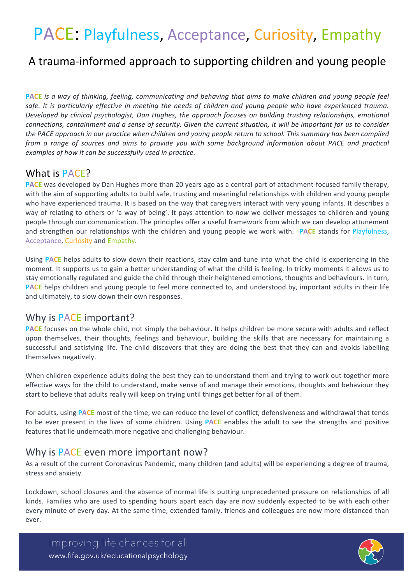# PACE: Playfulness, Acceptance, Curiosity, Empathy

## A trauma-informed approach to supporting children and young people

**PACE** is a way of thinking, feeling, communicating and behaving that aims to make children and young people feel safe. It is particularly effective in meeting the needs of children and young people who have experienced trauma. *Developed by clinical psychologist, Dan Hughes, the approach focuses on building trusting relationships, emotional connections, containment and a sense of security. Given the current situation, it will be important for us to consider* the PACE approach in our practice when children and young people return to school. This summary has been compiled *from* a range of sources and aims to provide you with some background information about PACE and practical examples of how it can be successfully used in practice.

#### What is PACE?

**PACE** was developed by Dan Hughes more than 20 years ago as a central part of attachment-focused family therapy, with the aim of supporting adults to build safe, trusting and meaningful relationships with children and young people who have experienced trauma. It is based on the way that caregivers interact with very young infants. It describes a way of relating to others or 'a way of being'. It pays attention to *how* we deliver messages to children and young people through our communication. The principles offer a useful framework from which we can develop attunement and strengthen our relationships with the children and young people we work with. **PACE** stands for Playfulness, Acceptance, Curiosity and Empathy.

Using **PACE** helps adults to slow down their reactions, stay calm and tune into what the child is experiencing in the moment. It supports us to gain a better understanding of what the child is feeling. In tricky moments it allows us to stay emotionally regulated and guide the child through their heightened emotions, thoughts and behaviours. In turn, **PACE** helps children and young people to feel more connected to, and understood by, important adults in their life and ultimately, to slow down their own responses.

#### Why is PACE important?

**PACE** focuses on the whole child, not simply the behaviour. It helps children be more secure with adults and reflect upon themselves, their thoughts, feelings and behaviour, building the skills that are necessary for maintaining a successful and satisfying life. The child discovers that they are doing the best that they can and avoids labelling themselves negatively.

When children experience adults doing the best they can to understand them and trying to work out together more effective ways for the child to understand, make sense of and manage their emotions, thoughts and behaviour they start to believe that adults really will keep on trying until things get better for all of them.

For adults, using **PACE** most of the time, we can reduce the level of conflict, defensiveness and withdrawal that tends to be ever present in the lives of some children. Using **PACE** enables the adult to see the strengths and positive features that lie underneath more negative and challenging behaviour.

#### Why is PACE even more important now?

As a result of the current Coronavirus Pandemic, many children (and adults) will be experiencing a degree of trauma, stress and anxiety.

Lockdown, school closures and the absence of normal life is putting unprecedented pressure on relationships of all kinds. Families who are used to spending hours apart each day are now suddenly expected to be with each other every minute of every day. At the same time, extended family, friends and colleagues are now more distanced than ever.

Improving life chances for all www.fife.gov.uk/educationalpsychology

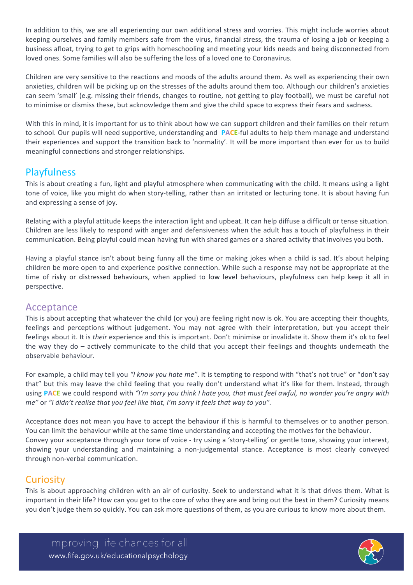In addition to this, we are all experiencing our own additional stress and worries. This might include worries about keeping ourselves and family members safe from the virus, financial stress, the trauma of losing a job or keeping a business afloat, trying to get to grips with homeschooling and meeting your kids needs and being disconnected from loved ones. Some families will also be suffering the loss of a loved one to Coronavirus.

Children are very sensitive to the reactions and moods of the adults around them. As well as experiencing their own anxieties, children will be picking up on the stresses of the adults around them too. Although our children's anxieties can seem 'small' (e.g. missing their friends, changes to routine, not getting to play football), we must be careful not to minimise or dismiss these, but acknowledge them and give the child space to express their fears and sadness.

With this in mind, it is important for us to think about how we can support children and their families on their return to school. Our pupils will need supportive, understanding and **PACE-ful adults** to help them manage and understand their experiences and support the transition back to 'normality'. It will be more important than ever for us to build meaningful connections and stronger relationships.

## **Playfulness**

This is about creating a fun, light and playful atmosphere when communicating with the child. It means using a light tone of voice, like you might do when story-telling, rather than an irritated or lecturing tone. It is about having fun and expressing a sense of joy.

Relating with a playful attitude keeps the interaction light and upbeat. It can help diffuse a difficult or tense situation. Children are less likely to respond with anger and defensiveness when the adult has a touch of playfulness in their communication. Being playful could mean having fun with shared games or a shared activity that involves you both.

Having a playful stance isn't about being funny all the time or making jokes when a child is sad. It's about helping children be more open to and experience positive connection. While such a response may not be appropriate at the time of risky or distressed behaviours, when applied to low level behaviours, playfulness can help keep it all in perspective.

#### Acceptance

This is about accepting that whatever the child (or you) are feeling right now is ok. You are accepting their thoughts, feelings and perceptions without judgement. You may not agree with their interpretation, but you accept their feelings about it. It is *their* experience and this is important. Don't minimise or invalidate it. Show them it's ok to feel the way they do – actively communicate to the child that you accept their feelings and thoughts underneath the observable behaviour.

For example, a child may tell you "I know you hate me". It is tempting to respond with "that's not true" or "don't say that" but this may leave the child feeling that you really don't understand what it's like for them. Instead, through using **PACE** we could respond with "I'm sorry you think I hate you, that must feel awful, no wonder you're angry with *me"* or "*I* didn't realise that you feel like that, I'm sorry it feels that way to you".

Acceptance does not mean you have to accept the behaviour if this is harmful to themselves or to another person. You can limit the behaviour while at the same time understanding and accepting the motives for the behaviour. Convey your acceptance through your tone of voice - try using a 'story-telling' or gentle tone, showing your interest, showing your understanding and maintaining a non-judgemental stance. Acceptance is most clearly conveyed through non-verbal communication.

## **Curiosity**

This is about approaching children with an air of curiosity. Seek to understand what it is that drives them. What is important in their life? How can you get to the core of who they are and bring out the best in them? Curiosity means you don't judge them so quickly. You can ask more questions of them, as you are curious to know more about them.

Improving life chances for all www.fife.gov.uk/educationalpsychology

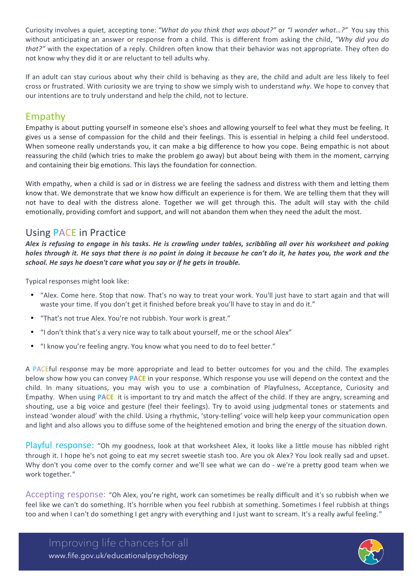Curiosity involves a quiet, accepting tone: "What do you think that was about?" or "I wonder what...?" You say this without anticipating an answer or response from a child. This is different from asking the child, "Why did you do *that?"* with the expectation of a reply. Children often know that their behavior was not appropriate. They often do not know why they did it or are reluctant to tell adults why.

If an adult can stay curious about why their child is behaving as they are, the child and adult are less likely to feel cross or frustrated. With curiosity we are trying to show we simply wish to understand why. We hope to convey that our intentions are to truly understand and help the child, not to lecture.

## Empathy

Empathy is about putting yourself in someone else's shoes and allowing yourself to feel what they must be feeling. It gives us a sense of compassion for the child and their feelings. This is essential in helping a child feel understood. When someone really understands you, it can make a big difference to how you cope. Being empathic is not about reassuring the child (which tries to make the problem go away) but about being with them in the moment, carrying and containing their big emotions. This lays the foundation for connection.

With empathy, when a child is sad or in distress we are feeling the sadness and distress with them and letting them know that. We demonstrate that we know how difficult an experience is for them. We are telling them that they will not have to deal with the distress alone. Together we will get through this. The adult will stay with the child emotionally, providing comfort and support, and will not abandon them when they need the adult the most.

## Using PACE in Practice

Alex is refusing to engage in his tasks. He is crawling under tables, scribbling all over his worksheet and poking *holes* through it. He says that there is no point in doing it because he can't do it, he hates you, the work and the school. He says he doesn't care what you say or if he gets in trouble.

Typical responses might look like:

- "Alex. Come here. Stop that now. That's no way to treat your work. You'll just have to start again and that will waste your time. If you don't get it finished before break you'll have to stay in and do it."
- "That's not true Alex. You're not rubbish. Your work is great."
- "I don't think that's a very nice way to talk about yourself, me or the school Alex"
- "I know you're feeling angry. You know what you need to do to feel better."

A PACEful response may be more appropriate and lead to better outcomes for you and the child. The examples below show how you can convey PACE in your response. Which response you use will depend on the context and the child. In many situations, you may wish you to use a combination of Playfulness, Acceptance, Curiosity and Empathy. When using **PACE** it is important to try and match the affect of the child. If they are angry, screaming and shouting, use a big voice and gesture (feel their feelings). Try to avoid using judgmental tones or statements and instead 'wonder aloud' with the child. Using a rhythmic, 'story-telling' voice will help keep your communication open and light and also allows you to diffuse some of the heightened emotion and bring the energy of the situation down.

Playful response: "Oh my goodness, look at that worksheet Alex, it looks like a little mouse has nibbled right through it. I hope he's not going to eat my secret sweetie stash too. Are you ok Alex? You look really sad and upset. Why don't you come over to the comfy corner and we'll see what we can do - we're a pretty good team when we work together.*"*

Accepting response: "Oh Alex, you're right, work can sometimes be really difficult and it's so rubbish when we feel like we can't do something. It's horrible when you feel rubbish at something. Sometimes I feel rubbish at things too and when I can't do something I get angry with everything and I just want to scream. It's a really awful feeling."

Improving life chances for all www.fife.gov.uk/educationalpsychology

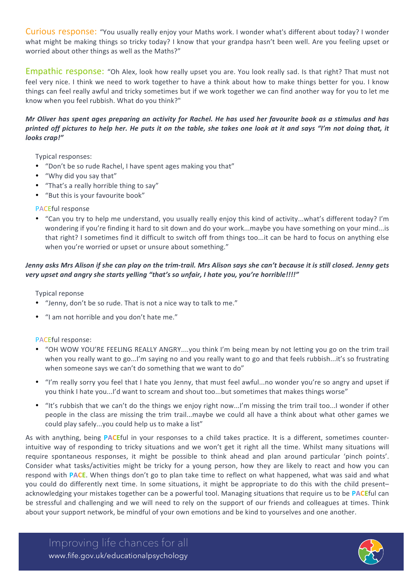Curious response: "You usually really enjoy your Maths work. I wonder what's different about today? I wonder what might be making things so tricky today? I know that your grandpa hasn't been well. Are you feeling upset or worried about other things as well as the Maths?"

Empathic response: "Oh Alex, look how really upset you are. You look really sad. Is that right? That must not feel very nice. I think we need to work together to have a think about how to make things better for you. I know things can feel really awful and tricky sometimes but if we work together we can find another way for you to let me know when you feel rubbish. What do you think?"

#### *Mr* Oliver has spent ages preparing an activity for Rachel. He has used her favourite book as a stimulus and has *printed* off pictures to help her. He puts it on the table, she takes one look at it and says "I'm not doing that, it *looks crap!"*

Typical responses:

- "Don't be so rude Rachel, I have spent ages making you that"
- "Why did you say that"
- "That's a really horrible thing to say"
- "But this is your favourite book"
- PACEful response
- "Can you try to help me understand, you usually really enjoy this kind of activity...what's different today? I'm wondering if you're finding it hard to sit down and do your work...maybe you have something on your mind...is that right? I sometimes find it difficult to switch off from things too...it can be hard to focus on anything else when you're worried or upset or unsure about something."

#### *Jenny* asks Mrs Alison if she can play on the trim-trail. Mrs Alison says she can't because it is still closed. Jenny aets very upset and angry she starts yelling "that's so unfair, I hate you, you're horrible!!!!"

Typical reponse

- "Jenny, don't be so rude. That is not a nice way to talk to me."
- "I am not horrible and you don't hate me."

#### PACEful response:

- "OH WOW YOU'RE FEELING REALLY ANGRY....you think I'm being mean by not letting you go on the trim trail when you really want to go...I'm saying no and you really want to go and that feels rubbish...it's so frustrating when someone says we can't do something that we want to do"
- "I'm really sorry you feel that I hate you Jenny, that must feel awful...no wonder you're so angry and upset if you think I hate you...I'd want to scream and shout too...but sometimes that makes things worse"
- "It's rubbish that we can't do the things we enjoy right now...I'm missing the trim trail too...I wonder if other people in the class are missing the trim trail...maybe we could all have a think about what other games we could play safely...you could help us to make a list"

As with anything, being **PACE**ful in your responses to a child takes practice. It is a different, sometimes counterintuitive way of responding to tricky situations and we won't get it right all the time. Whilst many situations will require spontaneous responses, it might be possible to think ahead and plan around particular 'pinch points'. Consider what tasks/activities might be tricky for a young person, how they are likely to react and how you can respond with **PACE**. When things don't go to plan take time to reflect on what happened, what was said and what you could do differently next time. In some situations, it might be appropriate to do this with the child present– acknowledging your mistakes together can be a powerful tool. Managing situations that require us to be PACEful can be stressful and challenging and we will need to rely on the support of our friends and colleagues at times. Think about your support network, be mindful of your own emotions and be kind to yourselves and one another.